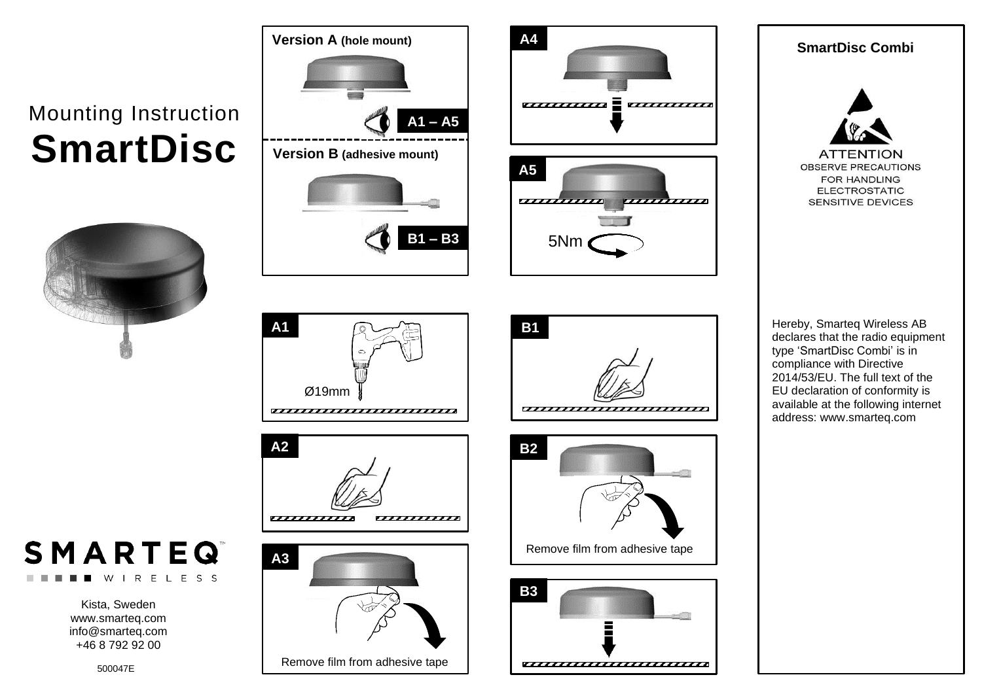## Mounting Instruction **SmartDisc**





Remove film from adhesive tape

**Version A (hole mount)**

**A1**









**SmartDisc Combi**



Hereby, Smarteq Wireless AB declares that the radio equipment type 'SmartDisc Combi' is in compliance with Directive 2014/53/EU. The full text of the EU declaration of conformity is available at the following internet address: www.smarteq.com



Kista, Sweden www.smarteq.com [info@smarteq.com](mailto:info@smarteq.com) +46 8 792 92 00

W.

500047E